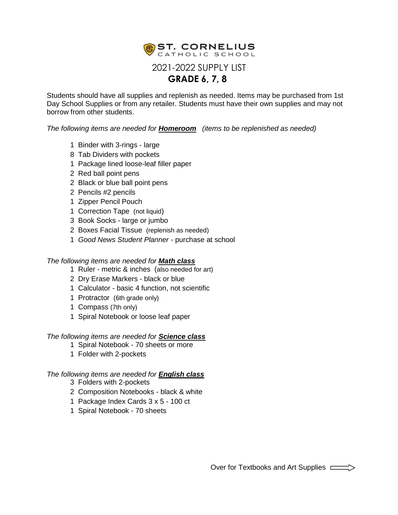

Students should have all supplies and replenish as needed. Items may be purchased from 1st Day School Supplies or from any retailer. Students must have their own supplies and may not borrow from other students.

*The following items are needed for Homeroom (items to be replenished as needed)*

- 1 Binder with 3-rings large
- 8 Tab Dividers with pockets
- 1 Package lined loose-leaf filler paper
- 2 Red ball point pens
- 2 Black or blue ball point pens
- 2 Pencils #2 pencils
- 1 Zipper Pencil Pouch
- 1 Correction Tape (not liquid)
- 3 Book Socks large or jumbo
- 2 Boxes Facial Tissue (replenish as needed)
- 1 *Good News Student Planner* purchase at school

### *The following items are needed for Math class*

- 1 Ruler metric & inches (also needed for art)
- 2 Dry Erase Markers black or blue
- 1 Calculator basic 4 function, not scientific
- 1 Protractor (6th grade only)
- 1 Compass (7th only)
- 1 Spiral Notebook or loose leaf paper

#### *The following items are needed for Science class*

- 1 Spiral Notebook 70 sheets or more
- 1 Folder with 2-pockets

#### *The following items are needed for English class*

- 3 Folders with 2-pockets
- 2 Composition Notebooks black & white
- 1 Package Index Cards 3 x 5 100 ct
- 1 Spiral Notebook 70 sheets

Over for Textbooks and Art Supplies